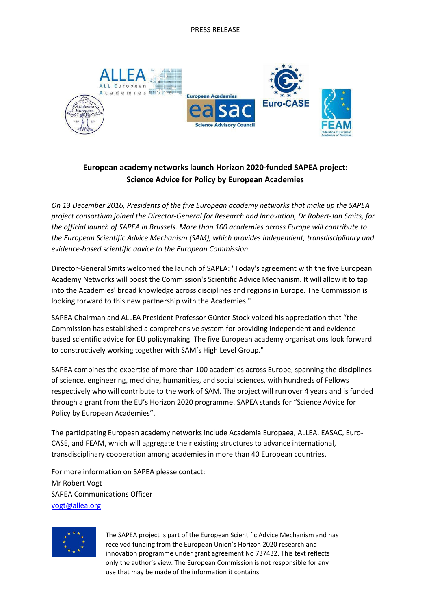

## **European academy networks launch Horizon 2020-funded SAPEA project: Science Advice for Policy by European Academies**

*On 13 December 2016, Presidents of the five European academy networks that make up the SAPEA project consortium joined the Director-General for Research and Innovation, Dr Robert-Jan Smits, for the official launch of SAPEA in Brussels. More than 100 academies across Europe will contribute to the European Scientific Advice Mechanism (SAM), which provides independent, transdisciplinary and evidence-based scientific advice to the European Commission.*

Director-General Smits welcomed the launch of SAPEA: "Today's agreement with the five European Academy Networks will boost the Commission's Scientific Advice Mechanism. It will allow it to tap into the Academies' broad knowledge across disciplines and regions in Europe. The Commission is looking forward to this new partnership with the Academies."

SAPEA Chairman and ALLEA President Professor Günter Stock voiced his appreciation that "the Commission has established a comprehensive system for providing independent and evidencebased scientific advice for EU policymaking. The five European academy organisations look forward to constructively working together with SAM's High Level Group."

SAPEA combines the expertise of more than 100 academies across Europe, spanning the disciplines of science, engineering, medicine, humanities, and social sciences, with hundreds of Fellows respectively who will contribute to the work of SAM. The project will run over 4 years and is funded through a grant from the EU's Horizon 2020 programme. SAPEA stands for "Science Advice for Policy by European Academies".

The participating European academy networks include Academia Europaea, ALLEA, EASAC, Euro-CASE, and FEAM, which will aggregate their existing structures to advance international, transdisciplinary cooperation among academies in more than 40 European countries.

For more information on SAPEA please contact: Mr Robert Vogt SAPEA Communications Officer [vogt@allea.org](mailto:vogt@allea.org)



The SAPEA project is part of the European Scientific Advice Mechanism and has received funding from the European Union's Horizon 2020 research and innovation programme under grant agreement No 737432. This text reflects only the author's view. The European Commission is not responsible for any use that may be made of the information it contains